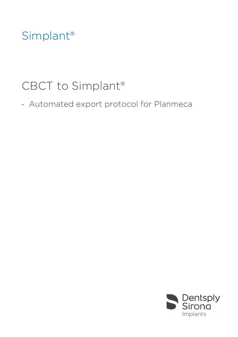## Simplant®

## CBCT to Simplant®

- Automated export protocol for Planmeca

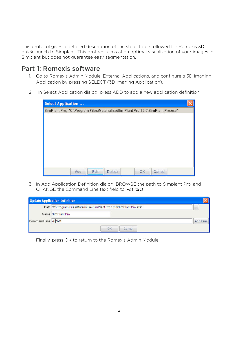This protocol gives a detailed description of the steps to be followed for Romexis 3D quick launch to Simplant. This protocol aims at an optimal visualization of your images in Simplant but does not guarantee easy segmentation.

## Part 1: Romexis software

- 1. Go to Romexis Admin Module, External Applications, and configure a 3D Imaging Application by pressing SELECT (3D Imaging Application).
- 2. In Select Application dialog, press ADD to add a new application definition.

| <b>Select Application </b>                                                      |  |
|---------------------------------------------------------------------------------|--|
| SimPlant Pro, "C:\Program Files\Materialise\SimPlant Pro 12.0\SimPlant Pro.exe" |  |
|                                                                                 |  |
|                                                                                 |  |
|                                                                                 |  |
|                                                                                 |  |
|                                                                                 |  |
|                                                                                 |  |
|                                                                                 |  |
| Edit<br>Cancel<br>Add<br><b>Delete</b><br>OK                                    |  |

3. In Add Application Definition dialog, BROWSE the path to Simplant Pro, and CHANGE the Command Line text field to: -sf %O.

|                     | <b>Update Application definition</b>                                   |          |
|---------------------|------------------------------------------------------------------------|----------|
|                     | Path "C:\Program Files\Materialise\SimPlant Pro 12.0\SimPlant Pro.exe" | $\cdots$ |
|                     | Name SimPlant Pro                                                      |          |
| Command Line -st %0 |                                                                        | Add Item |
|                     | OK<br>Cancel                                                           |          |

Finally, press OK to return to the Romexis Admin Module.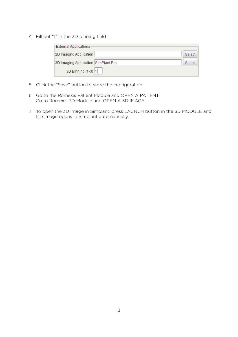4. Fill out "1" in the 3D binning field

| <b>External Applications</b>        |        |
|-------------------------------------|--------|
| 2D Imaging Application              | Select |
| 3D Imaging Application SimPlant Pro | Select |
| 3D Binning (1-3) 1                  |        |

- 5. Click the "Save" button to store the configuration
- 6. Go to the Romexis Patient Module and OPEN A PATIENT. Go to Romexis 3D Module and OPEN A 3D IMAGE.
- 7. To open the 3D image in Simplant, press LAUNCH button in the 3D MODULE and the image opens in Simplant automatically.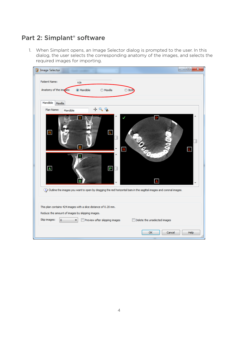## Part 2: Simplant® software

1. When Simplant opens, an Image Selector dialog is prompted to the user. In this dialog, the user selects the corresponding anatomy of the images, and selects the required images for importing.

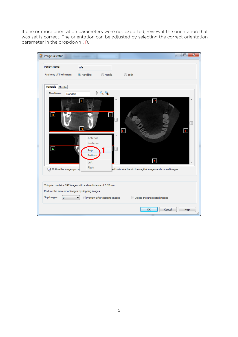If one or more orientation parameters were not exported, review if the orientation that was set is correct. The orientation can be adjusted by selecting the correct orientation parameter in the dropdown (1).

| <b>Image Selector</b>                                                                                                                     |                                                |                               | $\mathbf{x}$<br>▣                                              |
|-------------------------------------------------------------------------------------------------------------------------------------------|------------------------------------------------|-------------------------------|----------------------------------------------------------------|
| <b>Patient Name:</b><br>Anatomy of the images:                                                                                            | n/a<br>@ Mandible                              | <b>Maxilla</b>                | ◯ Both                                                         |
| Mandible<br>Maxilla                                                                                                                       |                                                |                               |                                                                |
| Plan Name:<br>Mandible<br>$\overline{\mathbf{R}}$                                                                                         | П<br>B                                         | $+99$<br>П                    | P<br>$\mathbf{R}$<br>L                                         |
| $\mathbf{A}$                                                                                                                              | Anterior<br>Posterior<br>Top<br>Bottom<br>Left |                               | A                                                              |
| Outline the images you w                                                                                                                  | Right                                          |                               | red horizontal bars in the sagittal images and coronal images. |
| This plan contains 247 images with a slice distance of 0.20 mm.<br>Reduce the amount of images by skipping images.<br>Skip images:<br>lo. | ▼                                              | Preview after skipping images | Delete the unselected images                                   |
|                                                                                                                                           |                                                |                               | Help<br>OK<br>Cancel                                           |